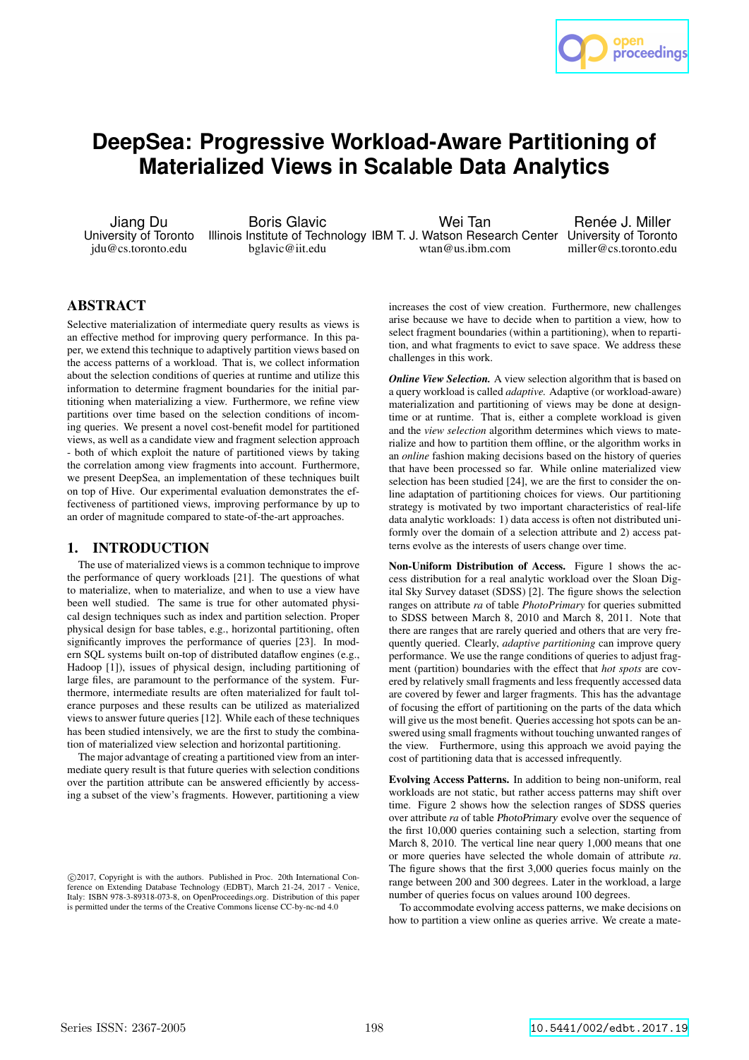

# **DeepSea: Progressive Workload-Aware Partitioning of Materialized Views in Scalable Data Analytics**

Jiang Du University of Toronto jdu@cs.toronto.edu

Boris Glavic Illinois Institute of Technology IBM T. J. Watson Research Center University of Toronto bglavic@iit.edu Wei Tan wtan@us.ibm.com

Renée J. Miller miller@cs.toronto.edu

# ABSTRACT

Selective materialization of intermediate query results as views is an effective method for improving query performance. In this paper, we extend this technique to adaptively partition views based on the access patterns of a workload. That is, we collect information about the selection conditions of queries at runtime and utilize this information to determine fragment boundaries for the initial partitioning when materializing a view. Furthermore, we refine view partitions over time based on the selection conditions of incoming queries. We present a novel cost-benefit model for partitioned views, as well as a candidate view and fragment selection approach - both of which exploit the nature of partitioned views by taking the correlation among view fragments into account. Furthermore, we present DeepSea, an implementation of these techniques built on top of Hive. Our experimental evaluation demonstrates the effectiveness of partitioned views, improving performance by up to an order of magnitude compared to state-of-the-art approaches.

# 1. INTRODUCTION

The use of materialized views is a common technique to improve the performance of query workloads [21]. The questions of what to materialize, when to materialize, and when to use a view have been well studied. The same is true for other automated physical design techniques such as index and partition selection. Proper physical design for base tables, e.g., horizontal partitioning, often significantly improves the performance of queries [23]. In modern SQL systems built on-top of distributed dataflow engines (e.g., Hadoop [1]), issues of physical design, including partitioning of large files, are paramount to the performance of the system. Furthermore, intermediate results are often materialized for fault tolerance purposes and these results can be utilized as materialized views to answer future queries [12]. While each of these techniques has been studied intensively, we are the first to study the combination of materialized view selection and horizontal partitioning.

The major advantage of creating a partitioned view from an intermediate query result is that future queries with selection conditions over the partition attribute can be answered efficiently by accessing a subset of the view's fragments. However, partitioning a view

increases the cost of view creation. Furthermore, new challenges arise because we have to decide when to partition a view, how to select fragment boundaries (within a partitioning), when to repartition, and what fragments to evict to save space. We address these challenges in this work.

*Online View Selection.* A view selection algorithm that is based on a query workload is called *adaptive.* Adaptive (or workload-aware) materialization and partitioning of views may be done at designtime or at runtime. That is, either a complete workload is given and the *view selection* algorithm determines which views to materialize and how to partition them offline, or the algorithm works in an *online* fashion making decisions based on the history of queries that have been processed so far. While online materialized view selection has been studied [24], we are the first to consider the online adaptation of partitioning choices for views. Our partitioning strategy is motivated by two important characteristics of real-life data analytic workloads: 1) data access is often not distributed uniformly over the domain of a selection attribute and 2) access patterns evolve as the interests of users change over time.

Non-Uniform Distribution of Access. Figure 1 shows the access distribution for a real analytic workload over the Sloan Digital Sky Survey dataset (SDSS) [2]. The figure shows the selection ranges on attribute *ra* of table *PhotoPrimary* for queries submitted to SDSS between March 8, 2010 and March 8, 2011. Note that there are ranges that are rarely queried and others that are very frequently queried. Clearly, *adaptive partitioning* can improve query performance. We use the range conditions of queries to adjust fragment (partition) boundaries with the effect that *hot spots* are covered by relatively small fragments and less frequently accessed data are covered by fewer and larger fragments. This has the advantage of focusing the effort of partitioning on the parts of the data which will give us the most benefit. Queries accessing hot spots can be answered using small fragments without touching unwanted ranges of the view. Furthermore, using this approach we avoid paying the cost of partitioning data that is accessed infrequently.

Evolving Access Patterns. In addition to being non-uniform, real workloads are not static, but rather access patterns may shift over time. Figure 2 shows how the selection ranges of SDSS queries over attribute *ra* of table PhotoPrimary evolve over the sequence of the first 10,000 queries containing such a selection, starting from March 8, 2010. The vertical line near query 1,000 means that one or more queries have selected the whole domain of attribute *ra*. The figure shows that the first 3,000 queries focus mainly on the range between 200 and 300 degrees. Later in the workload, a large number of queries focus on values around 100 degrees.

To accommodate evolving access patterns, we make decisions on how to partition a view online as queries arrive. We create a mate-

c 2017, Copyright is with the authors. Published in Proc. 20th International Conference on Extending Database Technology (EDBT), March 21-24, 2017 - Venice, Italy: ISBN 978-3-89318-073-8, on OpenProceedings.org. Distribution of this paper is permitted under the terms of the Creative Commons license CC-by-nc-nd 4.0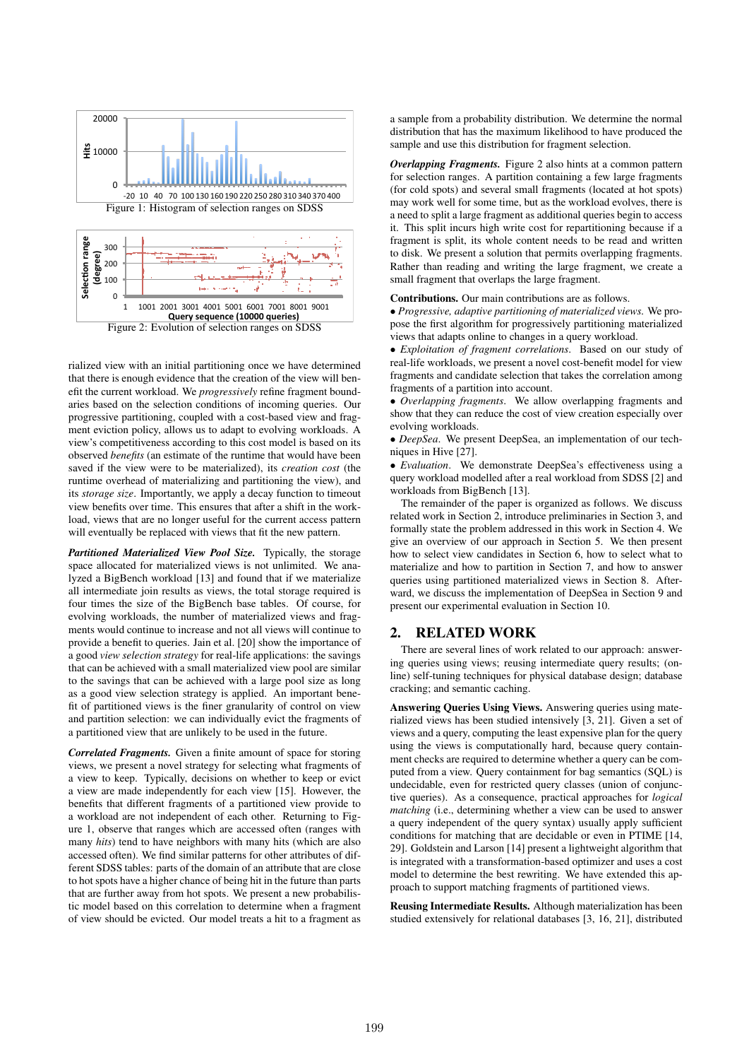

Figure 2: Evolution of selection ranges on SDSS

rialized view with an initial partitioning once we have determined that there is enough evidence that the creation of the view will benefit the current workload. We *progressively* refine fragment boundaries based on the selection conditions of incoming queries. Our progressive partitioning, coupled with a cost-based view and fragment eviction policy, allows us to adapt to evolving workloads. A view's competitiveness according to this cost model is based on its observed *benefits* (an estimate of the runtime that would have been saved if the view were to be materialized), its *creation cost* (the runtime overhead of materializing and partitioning the view), and its *storage size*. Importantly, we apply a decay function to timeout view benefits over time. This ensures that after a shift in the workload, views that are no longer useful for the current access pattern will eventually be replaced with views that fit the new pattern.

*Partitioned Materialized View Pool Size.* Typically, the storage space allocated for materialized views is not unlimited. We analyzed a BigBench workload [13] and found that if we materialize all intermediate join results as views, the total storage required is four times the size of the BigBench base tables. Of course, for evolving workloads, the number of materialized views and fragments would continue to increase and not all views will continue to provide a benefit to queries. Jain et al. [20] show the importance of a good *view selection strategy* for real-life applications: the savings that can be achieved with a small materialized view pool are similar to the savings that can be achieved with a large pool size as long as a good view selection strategy is applied. An important benefit of partitioned views is the finer granularity of control on view and partition selection: we can individually evict the fragments of a partitioned view that are unlikely to be used in the future.

*Correlated Fragments.* Given a finite amount of space for storing views, we present a novel strategy for selecting what fragments of a view to keep. Typically, decisions on whether to keep or evict a view are made independently for each view [15]. However, the benefits that different fragments of a partitioned view provide to a workload are not independent of each other. Returning to Figure 1, observe that ranges which are accessed often (ranges with many *hits*) tend to have neighbors with many hits (which are also accessed often). We find similar patterns for other attributes of different SDSS tables: parts of the domain of an attribute that are close to hot spots have a higher chance of being hit in the future than parts that are further away from hot spots. We present a new probabilistic model based on this correlation to determine when a fragment of view should be evicted. Our model treats a hit to a fragment as

a sample from a probability distribution. We determine the normal distribution that has the maximum likelihood to have produced the sample and use this distribution for fragment selection.

*Overlapping Fragments.* Figure 2 also hints at a common pattern for selection ranges. A partition containing a few large fragments (for cold spots) and several small fragments (located at hot spots) may work well for some time, but as the workload evolves, there is a need to split a large fragment as additional queries begin to access it. This split incurs high write cost for repartitioning because if a fragment is split, its whole content needs to be read and written to disk. We present a solution that permits overlapping fragments. Rather than reading and writing the large fragment, we create a small fragment that overlaps the large fragment.

#### Contributions. Our main contributions are as follows.

• *Progressive, adaptive partitioning of materialized views.* We propose the first algorithm for progressively partitioning materialized views that adapts online to changes in a query workload.

• *Exploitation of fragment correlations*. Based on our study of real-life workloads, we present a novel cost-benefit model for view fragments and candidate selection that takes the correlation among fragments of a partition into account.

• *Overlapping fragments*. We allow overlapping fragments and show that they can reduce the cost of view creation especially over evolving workloads.

• *DeepSea*. We present DeepSea, an implementation of our techniques in Hive [27].

• *Evaluation*. We demonstrate DeepSea's effectiveness using a query workload modelled after a real workload from SDSS [2] and workloads from BigBench [13].

The remainder of the paper is organized as follows. We discuss related work in Section 2, introduce preliminaries in Section 3, and formally state the problem addressed in this work in Section 4. We give an overview of our approach in Section 5. We then present how to select view candidates in Section 6, how to select what to materialize and how to partition in Section 7, and how to answer queries using partitioned materialized views in Section 8. Afterward, we discuss the implementation of DeepSea in Section 9 and present our experimental evaluation in Section 10.

#### 2. RELATED WORK

There are several lines of work related to our approach: answering queries using views; reusing intermediate query results; (online) self-tuning techniques for physical database design; database cracking; and semantic caching.

Answering Queries Using Views. Answering queries using materialized views has been studied intensively [3, 21]. Given a set of views and a query, computing the least expensive plan for the query using the views is computationally hard, because query containment checks are required to determine whether a query can be computed from a view. Query containment for bag semantics (SQL) is undecidable, even for restricted query classes (union of conjunctive queries). As a consequence, practical approaches for *logical matching* (i.e., determining whether a view can be used to answer a query independent of the query syntax) usually apply sufficient conditions for matching that are decidable or even in PTIME [14, 29]. Goldstein and Larson [14] present a lightweight algorithm that is integrated with a transformation-based optimizer and uses a cost model to determine the best rewriting. We have extended this approach to support matching fragments of partitioned views.

Reusing Intermediate Results. Although materialization has been studied extensively for relational databases [3, 16, 21], distributed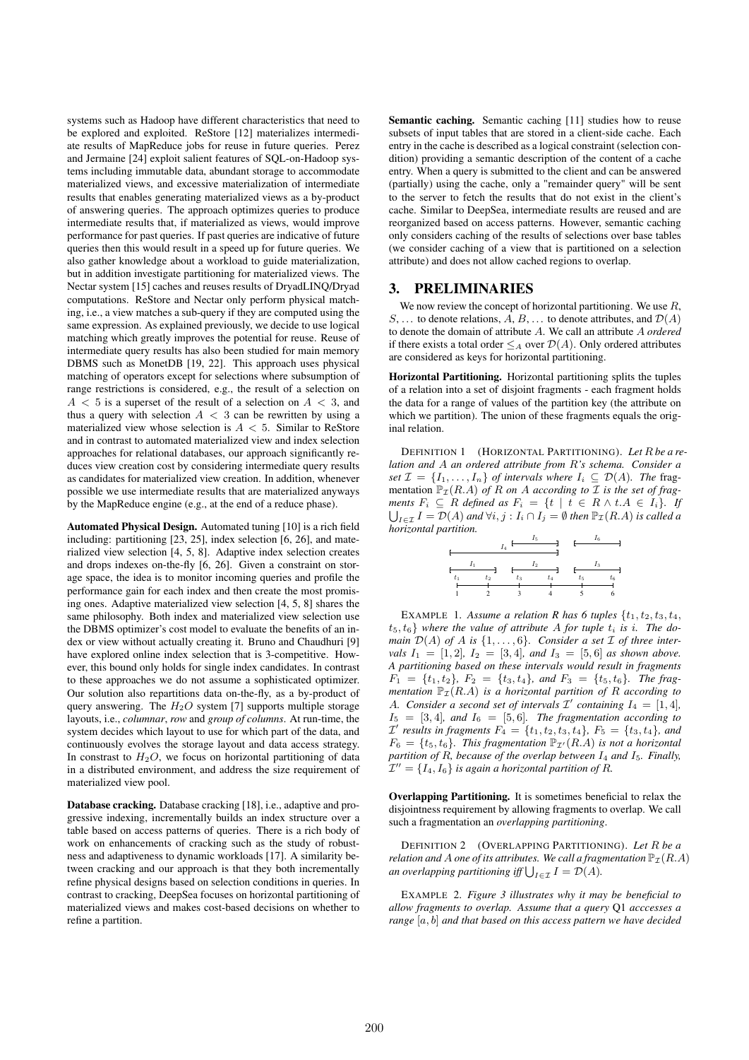systems such as Hadoop have different characteristics that need to be explored and exploited. ReStore [12] materializes intermediate results of MapReduce jobs for reuse in future queries. Perez and Jermaine [24] exploit salient features of SQL-on-Hadoop systems including immutable data, abundant storage to accommodate materialized views, and excessive materialization of intermediate results that enables generating materialized views as a by-product of answering queries. The approach optimizes queries to produce intermediate results that, if materialized as views, would improve performance for past queries. If past queries are indicative of future queries then this would result in a speed up for future queries. We also gather knowledge about a workload to guide materialization, but in addition investigate partitioning for materialized views. The Nectar system [15] caches and reuses results of DryadLINQ/Dryad computations. ReStore and Nectar only perform physical matching, i.e., a view matches a sub-query if they are computed using the same expression. As explained previously, we decide to use logical matching which greatly improves the potential for reuse. Reuse of intermediate query results has also been studied for main memory DBMS such as MonetDB [19, 22]. This approach uses physical matching of operators except for selections where subsumption of range restrictions is considered, e.g., the result of a selection on  $A < 5$  is a superset of the result of a selection on  $A < 3$ , and thus a query with selection  $A < 3$  can be rewritten by using a materialized view whose selection is  $A < 5$ . Similar to ReStore and in contrast to automated materialized view and index selection approaches for relational databases, our approach significantly reduces view creation cost by considering intermediate query results as candidates for materialized view creation. In addition, whenever possible we use intermediate results that are materialized anyways by the MapReduce engine (e.g., at the end of a reduce phase).

Automated Physical Design. Automated tuning [10] is a rich field including: partitioning [23, 25], index selection [6, 26], and materialized view selection [4, 5, 8]. Adaptive index selection creates and drops indexes on-the-fly [6, 26]. Given a constraint on storage space, the idea is to monitor incoming queries and profile the performance gain for each index and then create the most promising ones. Adaptive materialized view selection [4, 5, 8] shares the same philosophy. Both index and materialized view selection use the DBMS optimizer's cost model to evaluate the benefits of an index or view without actually creating it. Bruno and Chaudhuri [9] have explored online index selection that is 3-competitive. However, this bound only holds for single index candidates. In contrast to these approaches we do not assume a sophisticated optimizer. Our solution also repartitions data on-the-fly, as a by-product of query answering. The  $H<sub>2</sub>O$  system [7] supports multiple storage layouts, i.e., *columnar*, *row* and *group of columns*. At run-time, the system decides which layout to use for which part of the data, and continuously evolves the storage layout and data access strategy. In constrast to  $H_2O$ , we focus on horizontal partitioning of data in a distributed environment, and address the size requirement of materialized view pool.

Database cracking. Database cracking [18], i.e., adaptive and progressive indexing, incrementally builds an index structure over a table based on access patterns of queries. There is a rich body of work on enhancements of cracking such as the study of robustness and adaptiveness to dynamic workloads [17]. A similarity between cracking and our approach is that they both incrementally refine physical designs based on selection conditions in queries. In contrast to cracking, DeepSea focuses on horizontal partitioning of materialized views and makes cost-based decisions on whether to refine a partition.

Semantic caching. Semantic caching [11] studies how to reuse subsets of input tables that are stored in a client-side cache. Each entry in the cache is described as a logical constraint (selection condition) providing a semantic description of the content of a cache entry. When a query is submitted to the client and can be answered (partially) using the cache, only a "remainder query" will be sent to the server to fetch the results that do not exist in the client's cache. Similar to DeepSea, intermediate results are reused and are reorganized based on access patterns. However, semantic caching only considers caching of the results of selections over base tables (we consider caching of a view that is partitioned on a selection attribute) and does not allow cached regions to overlap.

#### 3. PRELIMINARIES

We now review the concept of horizontal partitioning. We use  $R$ , S, ... to denote relations, A, B, ... to denote attributes, and  $\mathcal{D}(A)$ to denote the domain of attribute A. We call an attribute A *ordered* if there exists a total order  $\leq_A$  over  $\mathcal{D}(A)$ . Only ordered attributes are considered as keys for horizontal partitioning.

Horizontal Partitioning. Horizontal partitioning splits the tuples of a relation into a set of disjoint fragments - each fragment holds the data for a range of values of the partition key (the attribute on which we partition). The union of these fragments equals the original relation.

DEFINITION 1 (HORIZONTAL PARTITIONING). *Let* R *be a relation and* A *an ordered attribute from* R*'s schema. Consider a set*  $\mathcal{I} = \{I_1, \ldots, I_n\}$  *of intervals where*  $I_i \subseteq \mathcal{D}(A)$ *. The* fragmentation  $\mathbb{P}_{\mathcal{I}}(R.A)$  *of* R *on* A *according to* I *is the set of fragments*  $F_i \subseteq R$  *defined as*  $F_i = \{t \mid t \in R \land t.A \in I_i\}$ . If  $\bigcup_{I \in \mathcal{I}} I = \mathcal{D}(A)$  *and*  $\forall i, j : I_i \cap I_j = \emptyset$  *then*  $\mathbb{P}_{\mathcal{I}}(R.A)$  *is called a horizontal partition.*

|  | tο | tэ |  | $t_{5}$ |  |
|--|----|----|--|---------|--|
|  |    |    |  |         |  |

EXAMPLE 1. Assume a relation R has 6 tuples  $\{t_1, t_2, t_3, t_4,$  $t_5, t_6$  where the value of attribute A for tuple  $t_i$  is *i*. The do*main*  $\mathcal{D}(A)$  *of* A *is*  $\{1, \ldots, 6\}$ *. Consider a set*  $\mathcal I$  *of three intervals*  $I_1 = [1, 2]$ ,  $I_2 = [3, 4]$ *, and*  $I_3 = [5, 6]$  *as shown above. A partitioning based on these intervals would result in fragments*  $F_1 = \{t_1, t_2\}, F_2 = \{t_3, t_4\}, and F_3 = \{t_5, t_6\}.$  The frag*mentation*  $\mathbb{P}_{\mathcal{I}}(R.A)$  *is a horizontal partition of* R *according to* A. Consider a second set of intervals  $\mathcal{I}'$  containing  $I_4 = [1, 4]$ ,  $I_5 = [3, 4]$ *, and*  $I_6 = [5, 6]$ *. The fragmentation according to*  $\mathcal{I}'$  results in fragments  $F_4 = \{t_1, t_2, t_3, t_4\}$ ,  $F_5 = \{t_3, t_4\}$ , and  $F_6 = \{t_5, t_6\}$ . This fragmentation  $\mathbb{P}_{\mathcal{I}'}(R.A)$  is not a horizontal *partition of* R*, because of the overlap between* I<sup>4</sup> *and* I5*. Finally,*  $\mathcal{I}'' = \{I_4, I_6\}$  is again a horizontal partition of R.

Overlapping Partitioning. It is sometimes beneficial to relax the disjointness requirement by allowing fragments to overlap. We call such a fragmentation an *overlapping partitioning*.

DEFINITION 2 (OVERLAPPING PARTITIONING). *Let* R *be a relation and* A *one of its attributes. We call a fragmentation*  $\mathbb{P}_{\mathcal{I}}(R.A)$ *an overlapping partitioning iff*  $\bigcup_{I \in \mathcal{I}} I = \mathcal{D}(A)$ *.* 

EXAMPLE 2. *Figure 3 illustrates why it may be beneficial to allow fragments to overlap. Assume that a query* Q1 *acccesses a range* [a, b] *and that based on this access pattern we have decided*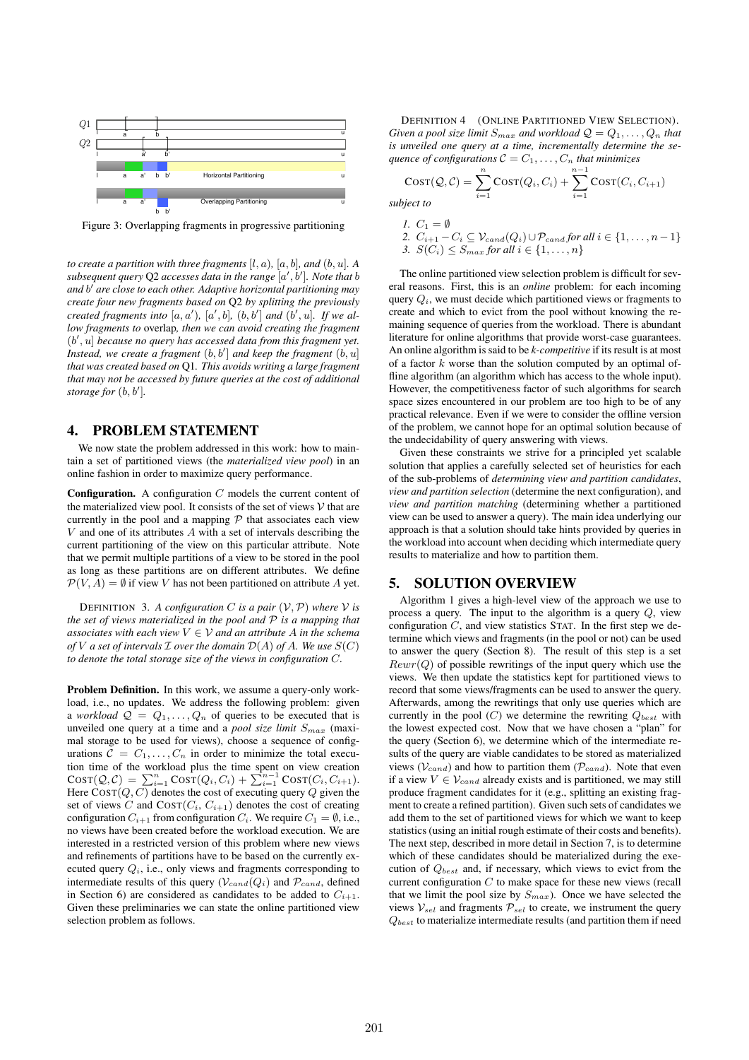

Figure 3: Overlapping fragments in progressive partitioning

*to create a partition with three fragments* [ $l, a$ ]*,* [ $a, b$ ]*, and* ( $b, u$ ]*.* A *subsequent query* Q2 *accesses data in the range* [a ′ , b′ ]*. Note that* b *and* b ′ *are close to each other. Adaptive horizontal partitioning may create four new fragments based on* Q2 *by splitting the previously created fragments into*  $[a, a')$ ,  $[a', b]$ ,  $(b, b']$  *and*  $(b', u]$ *. If we allow fragments to* overlap*, then we can avoid creating the fragment* (b ′ , u] *because no query has accessed data from this fragment yet. Instead, we create a fragment* (b, b′ ] *and keep the fragment* (b, u] *that was created based on* Q1*. This avoids writing a large fragment that may not be accessed by future queries at the cost of additional storage for* (b, b′ ]*.*

### 4. PROBLEM STATEMENT

We now state the problem addressed in this work: how to maintain a set of partitioned views (the *materialized view pool*) in an online fashion in order to maximize query performance.

**Configuration.** A configuration  $C$  models the current content of the materialized view pool. It consists of the set of views  $V$  that are currently in the pool and a mapping  $P$  that associates each view  $V$  and one of its attributes  $A$  with a set of intervals describing the current partitioning of the view on this particular attribute. Note that we permit multiple partitions of a view to be stored in the pool as long as these partitions are on different attributes. We define  $\mathcal{P}(V, A) = \emptyset$  if view V has not been partitioned on attribute A yet.

DEFINITION 3. A configuration C is a pair  $(V, P)$  where V is *the set of views materialized in the pool and* P *is a mapping that associates with each view*  $V \in V$  *and an attribute* A *in the schema of V a set of intervals*  $\mathcal I$  *over the domain*  $\mathcal D(A)$  *of*  $A$ *. We use*  $S(C)$ *to denote the total storage size of the views in configuration* C*.*

Problem Definition. In this work, we assume a query-only workload, i.e., no updates. We address the following problem: given a *workload*  $Q = Q_1, \ldots, Q_n$  of queries to be executed that is unveiled one query at a time and a *pool size limit*  $S_{max}$  (maximal storage to be used for views), choose a sequence of configurations  $\tilde{\mathcal{C}} = C_1, \ldots, C_n$  in order to minimize the total execution time of the workload plus the time spent on view creation  $\text{COST}(Q, C) = \sum_{i=1}^{n} \text{COST}(Q_i, C_i) + \sum_{i=1}^{n-1} \text{COST}(C_i, C_{i+1}).$ Here  $\text{COST}(Q, C)$  denotes the cost of executing query Q given the set of views C and  $\text{COST}(C_i, C_{i+1})$  denotes the cost of creating configuration  $C_{i+1}$  from configuration  $C_i$ . We require  $C_1 = \emptyset$ , i.e., no views have been created before the workload execution. We are interested in a restricted version of this problem where new views and refinements of partitions have to be based on the currently executed query  $Q_i$ , i.e., only views and fragments corresponding to intermediate results of this query  $(\mathcal{V}_{cand}(Q_i))$  and  $\mathcal{P}_{cand}$ , defined in Section 6) are considered as candidates to be added to  $C_{i+1}$ . Given these preliminaries we can state the online partitioned view selection problem as follows.

DEFINITION 4 (ONLINE PARTITIONED VIEW SELECTION). *Given a pool size limit*  $S_{max}$  *and workload*  $Q = Q_1, \ldots, Q_n$  *that is unveiled one query at a time, incrementally determine the sequence of configurations*  $C = C_1, \ldots, C_n$  *that minimizes* 

$$
Cost(Q, C) = \sum_{i=1}^{n} Cost(Q_i, C_i) + \sum_{i=1}^{n-1} Cost(C_i, C_{i+1})
$$

*subject to*

\n- $$
C_1 = \emptyset
$$
\n- $C_{i+1} - C_i \subseteq V_{cand}(Q_i) \cup P_{cand}$  for all  $i \in \{1, \ldots, n-1\}$
\n- $S(C_i) \leq S_{max}$  for all  $i \in \{1, \ldots, n\}$
\n

The online partitioned view selection problem is difficult for several reasons. First, this is an *online* problem: for each incoming query  $Q_i$ , we must decide which partitioned views or fragments to create and which to evict from the pool without knowing the remaining sequence of queries from the workload. There is abundant literature for online algorithms that provide worst-case guarantees. An online algorithm is said to be *k-competitive* if its result is at most of a factor  $k$  worse than the solution computed by an optimal offline algorithm (an algorithm which has access to the whole input). However, the competitiveness factor of such algorithms for search space sizes encountered in our problem are too high to be of any practical relevance. Even if we were to consider the offline version of the problem, we cannot hope for an optimal solution because of the undecidability of query answering with views.

Given these constraints we strive for a principled yet scalable solution that applies a carefully selected set of heuristics for each of the sub-problems of *determining view and partition candidates*, *view and partition selection* (determine the next configuration), and *view and partition matching* (determining whether a partitioned view can be used to answer a query). The main idea underlying our approach is that a solution should take hints provided by queries in the workload into account when deciding which intermediate query results to materialize and how to partition them.

### 5. SOLUTION OVERVIEW

Algorithm 1 gives a high-level view of the approach we use to process a query. The input to the algorithm is a query Q, view configuration  $C$ , and view statistics STAT. In the first step we determine which views and fragments (in the pool or not) can be used to answer the query (Section 8). The result of this step is a set  $Rewr(Q)$  of possible rewritings of the input query which use the views. We then update the statistics kept for partitioned views to record that some views/fragments can be used to answer the query. Afterwards, among the rewritings that only use queries which are currently in the pool  $(C)$  we determine the rewriting  $Q_{best}$  with the lowest expected cost. Now that we have chosen a "plan" for the query (Section 6), we determine which of the intermediate results of the query are viable candidates to be stored as materialized views ( $V_{cand}$ ) and how to partition them ( $P_{cand}$ ). Note that even if a view  $V \in \mathcal{V}_{cand}$  already exists and is partitioned, we may still produce fragment candidates for it (e.g., splitting an existing fragment to create a refined partition). Given such sets of candidates we add them to the set of partitioned views for which we want to keep statistics (using an initial rough estimate of their costs and benefits). The next step, described in more detail in Section 7, is to determine which of these candidates should be materialized during the execution of  $Q_{best}$  and, if necessary, which views to evict from the current configuration  $C$  to make space for these new views (recall that we limit the pool size by  $S_{max}$ ). Once we have selected the views  $V_{sel}$  and fragments  $P_{sel}$  to create, we instrument the query  $Q_{best}$  to materialize intermediate results (and partition them if need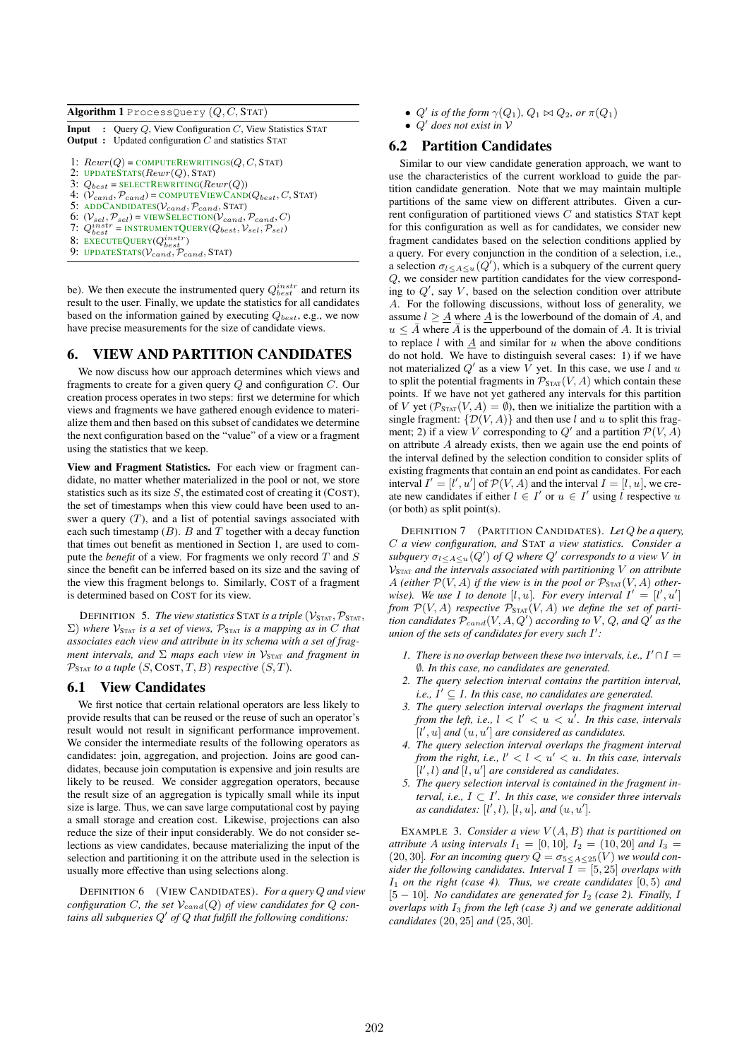Algorithm 1 ProcessQuery  $(Q, C, \text{STAT})$ 

| <b>Input</b> : Query Q, View Configuration C, View Statistics STAT<br><b>Output</b> : Updated configuration $C$ and statistics STAT                                                                                                                                                                                                                                                                                                                                                           |
|-----------------------------------------------------------------------------------------------------------------------------------------------------------------------------------------------------------------------------------------------------------------------------------------------------------------------------------------------------------------------------------------------------------------------------------------------------------------------------------------------|
| 1: $Rewr(Q) = \text{COMPUTEREWRITINGS}(Q, C, \text{STAT})$<br>2: UPDATESTATS( $Rewr(Q)$ , STAT)<br>3: $Q_{best}$ = SELECTREWRITING( $Rewr(Q)$ )<br>4: $(V_{cand}, P_{cand})$ = COMPUTEVIEWCAND( $Q_{best}, C$ , STAT)<br>5: ADDCANDIDATES( $V_{cand}$ , $P_{cand}$ , STAT)<br>6: $(V_{sel}, \mathcal{P}_{sel})$ = VIEWSELECTION( $V_{cand}, \mathcal{P}_{cand}, C$ )<br>7: $Q_{best}^{instr}$ = INSTRUMENTQUERY( $Q_{best}$ , $V_{sel}$ , $P_{sel}$ )<br>8: EXECUTEQUERY $(Q_{best}^{instr})$ |
| 9: UPDATESTATS( $V_{cand}$ , $P_{cand}$ , STAT)                                                                                                                                                                                                                                                                                                                                                                                                                                               |

be). We then execute the instrumented query  $Q_{best}^{instr}$  and return its result to the user. Finally, we update the statistics for all candidates based on the information gained by executing  $Q_{best}$ , e.g., we now have precise measurements for the size of candidate views.

### 6. VIEW AND PARTITION CANDIDATES

We now discuss how our approach determines which views and fragments to create for a given query  $Q$  and configuration  $C$ . Our creation process operates in two steps: first we determine for which views and fragments we have gathered enough evidence to materialize them and then based on this subset of candidates we determine the next configuration based on the "value" of a view or a fragment using the statistics that we keep.

View and Fragment Statistics. For each view or fragment candidate, no matter whether materialized in the pool or not, we store statistics such as its size  $S$ , the estimated cost of creating it (COST), the set of timestamps when this view could have been used to answer a query  $(T)$ , and a list of potential savings associated with each such timestamp  $(B)$ . B and T together with a decay function that times out benefit as mentioned in Section 1, are used to compute the *benefit* of a view. For fragments we only record T and S since the benefit can be inferred based on its size and the saving of the view this fragment belongs to. Similarly, COST of a fragment is determined based on COST for its view.

DEFINITION 5. The view statistics STAT is a triple  $(\mathcal{V}_{\text{STAT}}, \mathcal{P}_{\text{STAT}})$  $(\Sigma)$  where  $V_{\text{STAT}}$  *is a set of views,*  $P_{\text{STAT}}$  *is a mapping as in C that associates each view and attribute in its schema with a set of fragment intervals, and*  $\Sigma$  *maps each view in*  $V_{\text{STAT}}$  *and fragment in*  $\mathcal{P}_{\text{STAT}}$  *to a tuple*  $(S, \text{COST}, T, B)$  *respective*  $(S, T)$ *.* 

### 6.1 View Candidates

We first notice that certain relational operators are less likely to provide results that can be reused or the reuse of such an operator's result would not result in significant performance improvement. We consider the intermediate results of the following operators as candidates: join, aggregation, and projection. Joins are good candidates, because join computation is expensive and join results are likely to be reused. We consider aggregation operators, because the result size of an aggregation is typically small while its input size is large. Thus, we can save large computational cost by paying a small storage and creation cost. Likewise, projections can also reduce the size of their input considerably. We do not consider selections as view candidates, because materializing the input of the selection and partitioning it on the attribute used in the selection is usually more effective than using selections along.

DEFINITION 6 (VIEW CANDIDATES). *For a query* Q *and view configuration C, the set*  $V_{cand}(Q)$  *of view candidates for*  $Q$  *contains all subqueries* Q ′ *of* Q *that fulfill the following conditions:*

- $Q'$  is of the form  $\gamma(Q_1)$ ,  $Q_1 \bowtie Q_2$ , or  $\pi(Q_1)$
- Q ′ *does not exist in* V

### 6.2 Partition Candidates

Similar to our view candidate generation approach, we want to use the characteristics of the current workload to guide the partition candidate generation. Note that we may maintain multiple partitions of the same view on different attributes. Given a current configuration of partitioned views  $C$  and statistics STAT kept for this configuration as well as for candidates, we consider new fragment candidates based on the selection conditions applied by a query. For every conjunction in the condition of a selection, i.e., a selection  $\sigma_{l \leq A \leq u}(Q')$ , which is a subquery of the current query Q, we consider new partition candidates for the view corresponding to  $Q'$ , say  $V$ , based on the selection condition over attribute A. For the following discussions, without loss of generality, we assume  $l \geq \underline{A}$  where  $\underline{A}$  is the lowerbound of the domain of A, and  $u \leq \overline{A}$  where  $\overline{A}$  is the upperbound of the domain of A. It is trivial to replace  $l$  with  $A$  and similar for  $u$  when the above conditions do not hold. We have to distinguish several cases: 1) if we have not materialized  $Q'$  as a view V yet. In this case, we use l and u to split the potential fragments in  $\mathcal{P}_{\text{STAT}}(V, A)$  which contain these points. If we have not yet gathered any intervals for this partition of V yet  $(\mathcal{P}_{\text{STAT}}(V, A) = \emptyset)$ , then we initialize the partition with a single fragment:  $\{D(V, A)\}\$ and then use l and u to split this fragment; 2) if a view V corresponding to  $Q'$  and a partition  $\mathcal{P}(V, A)$ on attribute A already exists, then we again use the end points of the interval defined by the selection condition to consider splits of existing fragments that contain an end point as candidates. For each interval  $I' = [l', u']$  of  $\mathcal{P}(V, A)$  and the interval  $I = [l, u]$ , we create new candidates if either  $l \in I'$  or  $u \in I'$  using l respective u (or both) as split point(s).

DEFINITION 7 (PARTITION CANDIDATES). *Let* Q *be a query,* C *a view configuration, and* STAT *a view statistics. Consider a subquery*  $\sigma_l \leq_{A \leq u}(Q')$  *of*  $Q$  *where*  $Q'$  *corresponds to a view*  $V$  *in* V<sup>S</sup>TAT *and the intervals associated with partitioning* V *on attribute* A (either  $\mathcal{P}(V, A)$  if the view is in the pool or  $\mathcal{P}_{\text{STAT}}(V, A)$  otherwise). We use I to denote  $[l, u]$ . For every interval  $I' = [l', u']$ *from*  $\mathcal{P}(V, A)$  *respective*  $\mathcal{P}_{\text{STAT}}(V, A)$  *we define the set of partition candidates*  $\mathcal{P}_{cand}(V, A, Q')$  *according to*  $V$ *,*  $Q$ *, and*  $Q'$  *as the union of the sets of candidates for every such* I ′ *:*

- 1. There is no overlap between these two intervals, i.e.,  $I' \cap I =$ ∅*. In this case, no candidates are generated.*
- *2. The query selection interval contains the partition interval, i.e.,*  $I' \subseteq I$ *. In this case, no candidates are generated.*
- *3. The query selection interval overlaps the fragment interval from the left, i.e.,*  $l \, < \, l' \, < \, u \, < \, u'$ . In this case, intervals [*l'*, *u*] and  $(u, u')$  are considered as candidates.
- *4. The query selection interval overlaps the fragment interval from the right, i.e.,*  $l' < l < u' < u$ . In this case, intervals  $[i', l]$  and  $[l, u']$  are considered as candidates.
- *5. The query selection interval is contained in the fragment interval, i.e.,*  $I \subset I'$ *. In this case, we consider three intervals as candidates:*  $[l', l)$ *,*  $[l, u]$ *, and*  $(u, u']$ *.*

EXAMPLE 3. *Consider a view*  $V(A, B)$  *that is partitioned on attribute* A *using intervals*  $I_1 = [0, 10]$ ,  $I_2 = (10, 20]$  *and*  $I_3 =$ (20, 30]. For an incoming query  $Q = \sigma_{5 \leq A \leq 25}(V)$  we would con*sider the following candidates. Interval*  $\overline{I} = [5, 25]$  *overlaps with*  $I_1$  *on the right (case 4). Thus, we create candidates*  $[0, 5)$  *and* [5 – 10]. No candidates are generated for  $I_2$  (case 2). Finally, I *overlaps with* I<sup>3</sup> *from the left (case 3) and we generate additional candidates* (20, 25] *and* (25, 30]*.*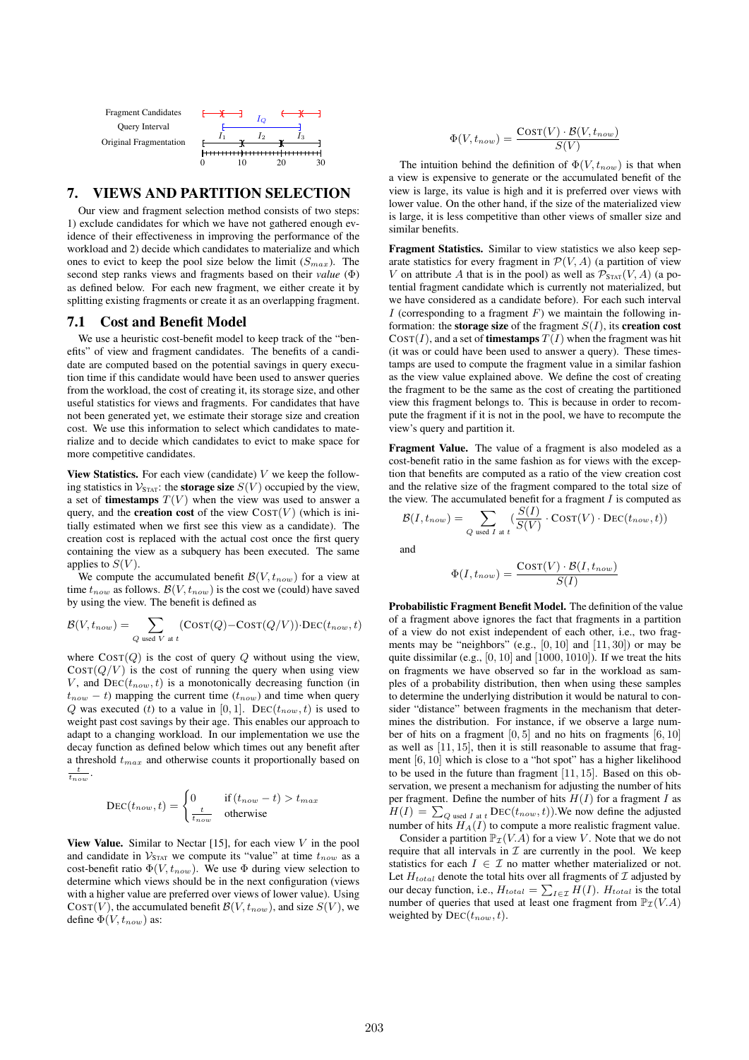

### 7. VIEWS AND PARTITION SELECTION

Our view and fragment selection method consists of two steps: 1) exclude candidates for which we have not gathered enough evidence of their effectiveness in improving the performance of the workload and 2) decide which candidates to materialize and which ones to evict to keep the pool size below the limit  $(S_{max})$ . The second step ranks views and fragments based on their *value* (Φ) as defined below. For each new fragment, we either create it by splitting existing fragments or create it as an overlapping fragment.

## 7.1 Cost and Benefit Model

We use a heuristic cost-benefit model to keep track of the "benefits" of view and fragment candidates. The benefits of a candidate are computed based on the potential savings in query execution time if this candidate would have been used to answer queries from the workload, the cost of creating it, its storage size, and other useful statistics for views and fragments. For candidates that have not been generated yet, we estimate their storage size and creation cost. We use this information to select which candidates to materialize and to decide which candidates to evict to make space for more competitive candidates.

View Statistics. For each view (candidate)  $V$  we keep the following statistics in  $\mathcal{V}_{\text{STAT}}$ : the **storage size**  $S(V)$  occupied by the view, a set of **timestamps**  $T(V)$  when the view was used to answer a query, and the **creation cost** of the view  $\text{Costr}(V)$  (which is initially estimated when we first see this view as a candidate). The creation cost is replaced with the actual cost once the first query containing the view as a subquery has been executed. The same applies to  $S(V)$ .

We compute the accumulated benefit  $\mathcal{B}(V, t_{now})$  for a view at time  $t_{now}$  as follows.  $\mathcal{B}(V, t_{now})$  is the cost we (could) have saved by using the view. The benefit is defined as

$$
\mathcal{B}(V, t_{now}) = \sum_{Q \text{ used } V \text{ at } t} (\text{Cosr}(Q) - \text{Cosr}(Q/V)) \cdot \text{DEC}(t_{now}, t)
$$

where  $\text{COST}(Q)$  is the cost of query Q without using the view,  $\text{COST}(Q/V)$  is the cost of running the query when using view V, and  $\text{DEC}(t_{now}, t)$  is a monotonically decreasing function (in  $t_{now} - t$ ) mapping the current time ( $t_{now}$ ) and time when query Q was executed (t) to a value in [0, 1]. DEC( $t_{now}, t$ ) is used to weight past cost savings by their age. This enables our approach to adapt to a changing workload. In our implementation we use the decay function as defined below which times out any benefit after a threshold  $t_{max}$  and otherwise counts it proportionally based on  $\frac{t}{t_{now}}$ .

$$
\text{DEC}(t_{now}, t) = \begin{cases} 0 & \text{if } (t_{now} - t) > t_{max} \\ \frac{t}{t_{now}} & \text{otherwise} \end{cases}
$$

View Value. Similar to Nectar [15], for each view  $V$  in the pool and candidate in  $V_{\text{STAT}}$  we compute its "value" at time  $t_{now}$  as a cost-benefit ratio  $\Phi(V, t_{now})$ . We use  $\Phi$  during view selection to determine which views should be in the next configuration (views with a higher value are preferred over views of lower value). Using  $\text{COST}(V)$ , the accumulated benefit  $\mathcal{B}(V, t_{now})$ , and size  $S(V)$ , we define  $\Phi(V,t_{now})$  as:

$$
\Phi(V,t_{now}) = \frac{\text{Cosr}(V) \cdot \mathcal{B}(V,t_{now})}{S(V)}
$$

The intuition behind the definition of  $\Phi(V, t_{now})$  is that when a view is expensive to generate or the accumulated benefit of the view is large, its value is high and it is preferred over views with lower value. On the other hand, if the size of the materialized view is large, it is less competitive than other views of smaller size and similar benefits.

Fragment Statistics. Similar to view statistics we also keep separate statistics for every fragment in  $\mathcal{P}(V, A)$  (a partition of view V on attribute A that is in the pool) as well as  $\mathcal{P}_{\text{STAT}}(V, A)$  (a potential fragment candidate which is currently not materialized, but we have considered as a candidate before). For each such interval I (corresponding to a fragment  $F$ ) we maintain the following information: the **storage size** of the fragment  $S(I)$ , its **creation cost**  $COST(I)$ , and a set of **timestamps**  $T(I)$  when the fragment was hit (it was or could have been used to answer a query). These timestamps are used to compute the fragment value in a similar fashion as the view value explained above. We define the cost of creating the fragment to be the same as the cost of creating the partitioned view this fragment belongs to. This is because in order to recompute the fragment if it is not in the pool, we have to recompute the view's query and partition it.

Fragment Value. The value of a fragment is also modeled as a cost-benefit ratio in the same fashion as for views with the exception that benefits are computed as a ratio of the view creation cost and the relative size of the fragment compared to the total size of the view. The accumulated benefit for a fragment  $I$  is computed as

$$
\mathcal{B}(I, t_{now}) = \sum_{Q \text{ used } I \text{ at } t} \left( \frac{S(I)}{S(V)} \cdot \text{COST}(V) \cdot \text{DEC}(t_{now}, t) \right)
$$

and

$$
\Phi(I, t_{now}) = \frac{\text{COST}(V) \cdot \mathcal{B}(I, t_{now})}{S(I)}
$$

Probabilistic Fragment Benefit Model. The definition of the value of a fragment above ignores the fact that fragments in a partition of a view do not exist independent of each other, i.e., two fragments may be "neighbors" (e.g.,  $[0, 10]$  and  $[11, 30]$ ) or may be quite dissimilar (e.g.,  $[0, 10]$  and  $[1000, 1010]$ ). If we treat the hits on fragments we have observed so far in the workload as samples of a probability distribution, then when using these samples to determine the underlying distribution it would be natural to consider "distance" between fragments in the mechanism that determines the distribution. For instance, if we observe a large number of hits on a fragment  $[0, 5]$  and no hits on fragments  $[6, 10]$ as well as [11, 15], then it is still reasonable to assume that fragment [6, 10] which is close to a "hot spot" has a higher likelihood to be used in the future than fragment [11, 15]. Based on this observation, we present a mechanism for adjusting the number of hits per fragment. Define the number of hits  $H(I)$  for a fragment I as  $H(I) = \sum_{Q \text{ used } I \text{ at } t} \text{DEC}(t_{now}, t)$ ). We now define the adjusted number of hits  $H_A(I)$  to compute a more realistic fragment value.

Consider a partition  $\mathbb{P}_{\mathcal{I}}(V.A)$  for a view V. Note that we do not require that all intervals in  $\mathcal I$  are currently in the pool. We keep statistics for each  $I \in \mathcal{I}$  no matter whether materialized or not. Let  $H_{total}$  denote the total hits over all fragments of  $I$  adjusted by our decay function, i.e.,  $H_{total} = \sum_{I \in \mathcal{I}} H(I)$ .  $H_{total}$  is the total number of queries that used at least one fragment from  $\mathbb{P}_{\mathcal{I}}(V.A)$ weighted by  $\text{DEC}(t_{now}, t)$ .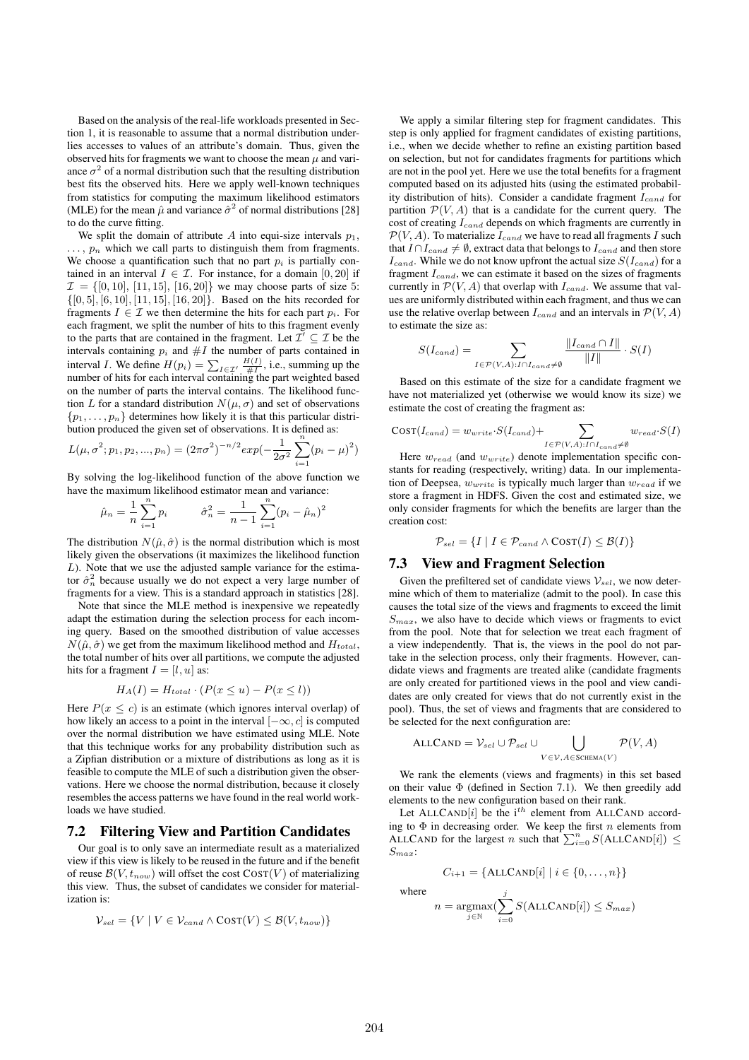Based on the analysis of the real-life workloads presented in Section 1, it is reasonable to assume that a normal distribution underlies accesses to values of an attribute's domain. Thus, given the observed hits for fragments we want to choose the mean  $\mu$  and variance  $\sigma^2$  of a normal distribution such that the resulting distribution best fits the observed hits. Here we apply well-known techniques from statistics for computing the maximum likelihood estimators (MLE) for the mean  $\hat{\mu}$  and variance  $\hat{\sigma}^2$  of normal distributions [28] to do the curve fitting.

We split the domain of attribute A into equi-size intervals  $p_1$ ,  $\ldots$ ,  $p_n$  which we call parts to distinguish them from fragments. We choose a quantification such that no part  $p_i$  is partially contained in an interval  $I \in \mathcal{I}$ . For instance, for a domain [0, 20] if  $\mathcal{I} = \{ [0, 10], [11, 15], [16, 20] \}$  we may choose parts of size 5:  $\{[0, 5], [6, 10], [11, 15], [16, 20]\}.$  Based on the hits recorded for fragments  $I \in \mathcal{I}$  we then determine the hits for each part  $p_i$ . For each fragment, we split the number of hits to this fragment evenly to the parts that are contained in the fragment. Let  $\mathcal{I}' \subseteq \mathcal{I}$  be the intervals containing  $p_i$  and  $\#I$  the number of parts contained in interval *I*. We define  $H(p_i) = \sum_{I \in \mathcal{I}'} \frac{H(I)}{\#I}$ , i.e., summing up the number of hits for each interval containing the part weighted based on the number of parts the interval contains. The likelihood function L for a standard distribution  $N(\mu, \sigma)$  and set of observations  $\{p_1, \ldots, p_n\}$  determines how likely it is that this particular distribution produced the given set of observations. It is defined as:

$$
L(\mu, \sigma^2; p_1, p_2, ..., p_n) = (2\pi\sigma^2)^{-n/2} exp(-\frac{1}{2\sigma^2} \sum_{i=1}^n (p_i - \mu)^2)
$$

By solving the log-likelihood function of the above function we have the maximum likelihood estimator mean and variance:

$$
\hat{\mu}_n = \frac{1}{n} \sum_{i=1}^n p_i \qquad \hat{\sigma}_n^2 = \frac{1}{n-1} \sum_{i=1}^n (p_i - \hat{\mu}_n)^2
$$

The distribution  $N(\hat{\mu}, \hat{\sigma})$  is the normal distribution which is most likely given the observations (it maximizes the likelihood function  $L$ ). Note that we use the adjusted sample variance for the estimator  $\hat{\sigma}_n^2$  because usually we do not expect a very large number of fragments for a view. This is a standard approach in statistics [28].

Note that since the MLE method is inexpensive we repeatedly adapt the estimation during the selection process for each incoming query. Based on the smoothed distribution of value accesses  $N(\hat{\mu}, \hat{\sigma})$  we get from the maximum likelihood method and  $H_{total}$ , the total number of hits over all partitions, we compute the adjusted hits for a fragment  $I = [l, u]$  as:

$$
H_A(I) = H_{total} \cdot (P(x \le u) - P(x \le l))
$$

Here  $P(x \leq c)$  is an estimate (which ignores interval overlap) of how likely an access to a point in the interval  $[-\infty, c]$  is computed over the normal distribution we have estimated using MLE. Note that this technique works for any probability distribution such as a Zipfian distribution or a mixture of distributions as long as it is feasible to compute the MLE of such a distribution given the observations. Here we choose the normal distribution, because it closely resembles the access patterns we have found in the real world workloads we have studied.

#### 7.2 Filtering View and Partition Candidates

Our goal is to only save an intermediate result as a materialized view if this view is likely to be reused in the future and if the benefit of reuse  $\mathcal{B}(V, t_{now})$  will offset the cost  $\text{COST}(V)$  of materializing this view. Thus, the subset of candidates we consider for materialization is:

$$
\mathcal{V}_{sel} = \{ V \mid V \in \mathcal{V}_{cand} \land \text{COST}(V) \leq \mathcal{B}(V, t_{now}) \}
$$

We apply a similar filtering step for fragment candidates. This step is only applied for fragment candidates of existing partitions, i.e., when we decide whether to refine an existing partition based on selection, but not for candidates fragments for partitions which are not in the pool yet. Here we use the total benefits for a fragment computed based on its adjusted hits (using the estimated probability distribution of hits). Consider a candidate fragment  $I_{cand}$  for partition  $\mathcal{P}(V, A)$  that is a candidate for the current query. The cost of creating  $I_{cand}$  depends on which fragments are currently in  $P(V, A)$ . To materialize  $I_{cand}$  we have to read all fragments I such that  $I \cap I_{cand} \neq \emptyset$ , extract data that belongs to  $I_{cand}$  and then store  $I_{cand}$ . While we do not know upfront the actual size  $S(I_{cand})$  for a fragment  $I_{cand}$ , we can estimate it based on the sizes of fragments currently in  $P(V, A)$  that overlap with  $I_{cand}$ . We assume that values are uniformly distributed within each fragment, and thus we can use the relative overlap between  $I_{cand}$  and an intervals in  $\mathcal{P}(V, A)$ to estimate the size as:

$$
S(I_{cand}) = \sum_{I \in \mathcal{P}(V,A): I \cap I_{cand} \neq \emptyset} \frac{\|I_{cand} \cap I\|}{\|I\|} \cdot S(I)
$$

Based on this estimate of the size for a candidate fragment we have not materialized yet (otherwise we would know its size) we estimate the cost of creating the fragment as:

$$
Cost(I_{cand}) = w_{write} \cdot S(I_{cand}) + \sum_{I \in \mathcal{P}(V,A): I \cap I_{cand} \neq \emptyset} w_{read} \cdot S(I)
$$

Here  $w_{read}$  (and  $w_{write}$ ) denote implementation specific constants for reading (respectively, writing) data. In our implementation of Deepsea,  $w_{write}$  is typically much larger than  $w_{read}$  if we store a fragment in HDFS. Given the cost and estimated size, we only consider fragments for which the benefits are larger than the creation cost:

$$
\mathcal{P}_{sel} = \{ I \mid I \in \mathcal{P}_{cand} \land \text{COST}(I) \leq \mathcal{B}(I) \}
$$

### 7.3 View and Fragment Selection

Given the prefiltered set of candidate views  $\mathcal{V}_{sel}$ , we now determine which of them to materialize (admit to the pool). In case this causes the total size of the views and fragments to exceed the limit  $S_{max}$ , we also have to decide which views or fragments to evict from the pool. Note that for selection we treat each fragment of a view independently. That is, the views in the pool do not partake in the selection process, only their fragments. However, candidate views and fragments are treated alike (candidate fragments are only created for partitioned views in the pool and view candidates are only created for views that do not currently exist in the pool). Thus, the set of views and fragments that are considered to be selected for the next configuration are:

$$
ALLCAND = \mathcal{V}_{sel} \cup \mathcal{P}_{sel} \cup \bigcup_{V \in \mathcal{V}, A \in \text{SCHEMA}(V)} \mathcal{P}(V, A)
$$

We rank the elements (views and fragments) in this set based on their value  $\Phi$  (defined in Section 7.1). We then greedily add elements to the new configuration based on their rank.

Let ALLCAND[i] be the i<sup>th</sup> element from ALLCAND according to  $\Phi$  in decreasing order. We keep the first n elements from ALLCAND for the largest n such that  $\sum_{i=0}^{n} S(ALLCAND[i]) \leq$  $\mathcal{S}_{max}$  :

 $C_{i+1} = {\text{ALLCAND}[i] \mid i \in \{0, ..., n\}}$ 

where

$$
n = \underset{j \in \mathbb{N}}{\operatorname{argmax}} (\sum_{i=0}^{j} S(\text{ALLCAND}[i]) \leq S_{max})
$$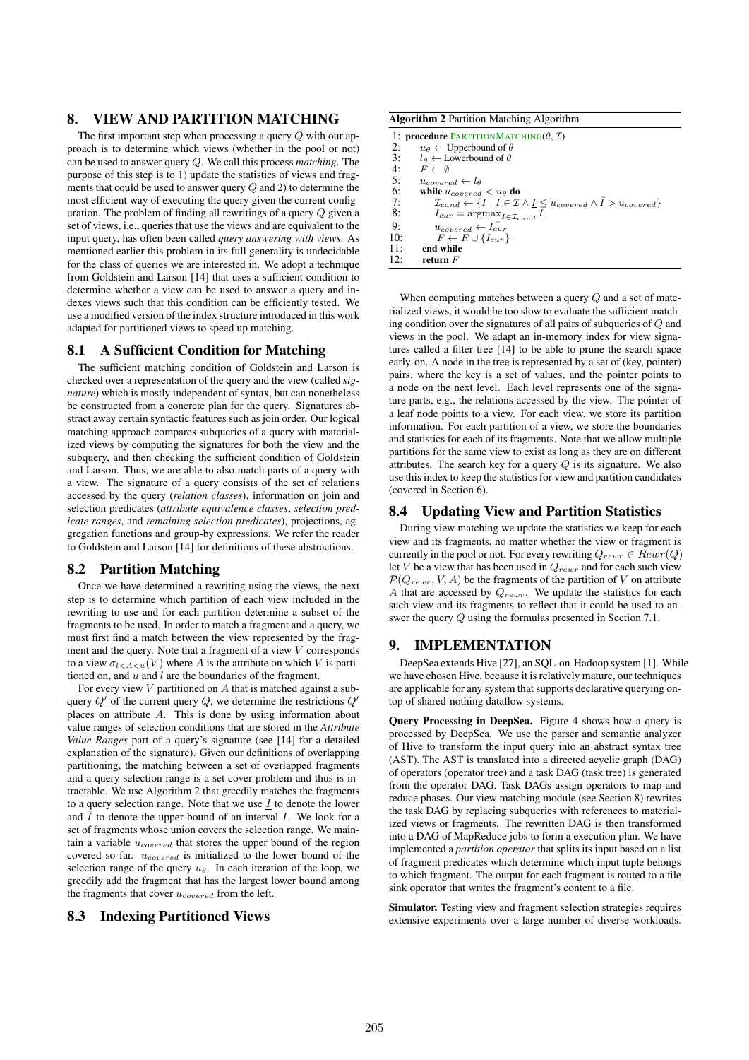## 8. VIEW AND PARTITION MATCHING

The first important step when processing a query Q with our approach is to determine which views (whether in the pool or not) can be used to answer query Q. We call this process *matching*. The purpose of this step is to 1) update the statistics of views and fragments that could be used to answer query  $Q$  and 2) to determine the most efficient way of executing the query given the current configuration. The problem of finding all rewritings of a query Q given a set of views, i.e., queries that use the views and are equivalent to the input query, has often been called *query answering with views*. As mentioned earlier this problem in its full generality is undecidable for the class of queries we are interested in. We adopt a technique from Goldstein and Larson [14] that uses a sufficient condition to determine whether a view can be used to answer a query and indexes views such that this condition can be efficiently tested. We use a modified version of the index structure introduced in this work adapted for partitioned views to speed up matching.

#### 8.1 A Sufficient Condition for Matching

The sufficient matching condition of Goldstein and Larson is checked over a representation of the query and the view (called *signature*) which is mostly independent of syntax, but can nonetheless be constructed from a concrete plan for the query. Signatures abstract away certain syntactic features such as join order. Our logical matching approach compares subqueries of a query with materialized views by computing the signatures for both the view and the subquery, and then checking the sufficient condition of Goldstein and Larson. Thus, we are able to also match parts of a query with a view. The signature of a query consists of the set of relations accessed by the query (*relation classes*), information on join and selection predicates (*attribute equivalence classes*, *selection predicate ranges*, and *remaining selection predicates*), projections, aggregation functions and group-by expressions. We refer the reader to Goldstein and Larson [14] for definitions of these abstractions.

### 8.2 Partition Matching

Once we have determined a rewriting using the views, the next step is to determine which partition of each view included in the rewriting to use and for each partition determine a subset of the fragments to be used. In order to match a fragment and a query, we must first find a match between the view represented by the fragment and the query. Note that a fragment of a view V corresponds to a view  $\sigma_{l \lt A \lt u}(V)$  where A is the attribute on which V is partitioned on, and  $u$  and  $l$  are the boundaries of the fragment.

For every view  $V$  partitioned on  $A$  that is matched against a subquery  $Q'$  of the current query  $Q$ , we determine the restrictions  $Q'$ places on attribute A. This is done by using information about value ranges of selection conditions that are stored in the *Attribute Value Ranges* part of a query's signature (see [14] for a detailed explanation of the signature). Given our definitions of overlapping partitioning, the matching between a set of overlapped fragments and a query selection range is a set cover problem and thus is intractable. We use Algorithm 2 that greedily matches the fragments to a query selection range. Note that we use  $I$  to denote the lower and  $\overline{I}$  to denote the upper bound of an interval I. We look for a set of fragments whose union covers the selection range. We maintain a variable  $u_{covered}$  that stores the upper bound of the region covered so far.  $u_{covered}$  is initialized to the lower bound of the selection range of the query  $u_{\theta}$ . In each iteration of the loop, we greedily add the fragment that has the largest lower bound among the fragments that cover  $u_{covered}$  from the left.

### 8.3 Indexing Partitioned Views

Algorithm 2 Partition Matching Algorithm

|     | 1: <b>procedure</b> PARTITIONMATCHING( $\theta$ , $\mathcal{I}$ )                                                                  |  |  |  |  |  |
|-----|------------------------------------------------------------------------------------------------------------------------------------|--|--|--|--|--|
| 2:  | $u_{\theta} \leftarrow$ Upperbound of $\theta$                                                                                     |  |  |  |  |  |
| 3:  | $l_{\theta} \leftarrow$ Lowerbound of $\theta$                                                                                     |  |  |  |  |  |
| 4:  | $F \leftarrow \emptyset$                                                                                                           |  |  |  |  |  |
| 5:  | $u_{covered} \leftarrow l_{\theta}$                                                                                                |  |  |  |  |  |
| 6:  | while $u_{covered} < u_{\theta}$ do                                                                                                |  |  |  |  |  |
| 7:  | $\mathcal{I}_{cand} \leftarrow \{I \mid I \in \mathcal{I} \land \underline{I} \leq u_{covered} \land \overline{I} > u_{covered}\}$ |  |  |  |  |  |
| 8:  | $I_{cur} = \arg\max_{I \in \mathcal{I}_{cand}} \underline{I}$                                                                      |  |  |  |  |  |
| 9:  | $u_{covered} \leftarrow I_{cur}$                                                                                                   |  |  |  |  |  |
| 10: | $F \leftarrow F \cup \{I_{cur}\}\$                                                                                                 |  |  |  |  |  |
| 11: | end while                                                                                                                          |  |  |  |  |  |
| 12: | return $F$                                                                                                                         |  |  |  |  |  |

When computing matches between a query Q and a set of materialized views, it would be too slow to evaluate the sufficient matching condition over the signatures of all pairs of subqueries of Q and views in the pool. We adapt an in-memory index for view signatures called a filter tree [14] to be able to prune the search space early-on. A node in the tree is represented by a set of (key, pointer) pairs, where the key is a set of values, and the pointer points to a node on the next level. Each level represents one of the signature parts, e.g., the relations accessed by the view. The pointer of a leaf node points to a view. For each view, we store its partition information. For each partition of a view, we store the boundaries and statistics for each of its fragments. Note that we allow multiple partitions for the same view to exist as long as they are on different attributes. The search key for a query  $Q$  is its signature. We also use this index to keep the statistics for view and partition candidates (covered in Section 6).

#### 8.4 Updating View and Partition Statistics

During view matching we update the statistics we keep for each view and its fragments, no matter whether the view or fragment is currently in the pool or not. For every rewriting  $Q_{rewr} \in Rewr(Q)$ let V be a view that has been used in  $Q_{rewr}$  and for each such view  $\mathcal{P}(Q_{rewr}, V, A)$  be the fragments of the partition of V on attribute A that are accessed by  $Q_{rewr}$ . We update the statistics for each such view and its fragments to reflect that it could be used to answer the query Q using the formulas presented in Section 7.1.

### 9. IMPLEMENTATION

DeepSea extends Hive [27], an SQL-on-Hadoop system [1]. While we have chosen Hive, because it is relatively mature, our techniques are applicable for any system that supports declarative querying ontop of shared-nothing dataflow systems.

Query Processing in DeepSea. Figure 4 shows how a query is processed by DeepSea. We use the parser and semantic analyzer of Hive to transform the input query into an abstract syntax tree (AST). The AST is translated into a directed acyclic graph (DAG) of operators (operator tree) and a task DAG (task tree) is generated from the operator DAG. Task DAGs assign operators to map and reduce phases. Our view matching module (see Section 8) rewrites the task DAG by replacing subqueries with references to materialized views or fragments. The rewritten DAG is then transformed into a DAG of MapReduce jobs to form a execution plan. We have implemented a *partition operator* that splits its input based on a list of fragment predicates which determine which input tuple belongs to which fragment. The output for each fragment is routed to a file sink operator that writes the fragment's content to a file.

Simulator. Testing view and fragment selection strategies requires extensive experiments over a large number of diverse workloads.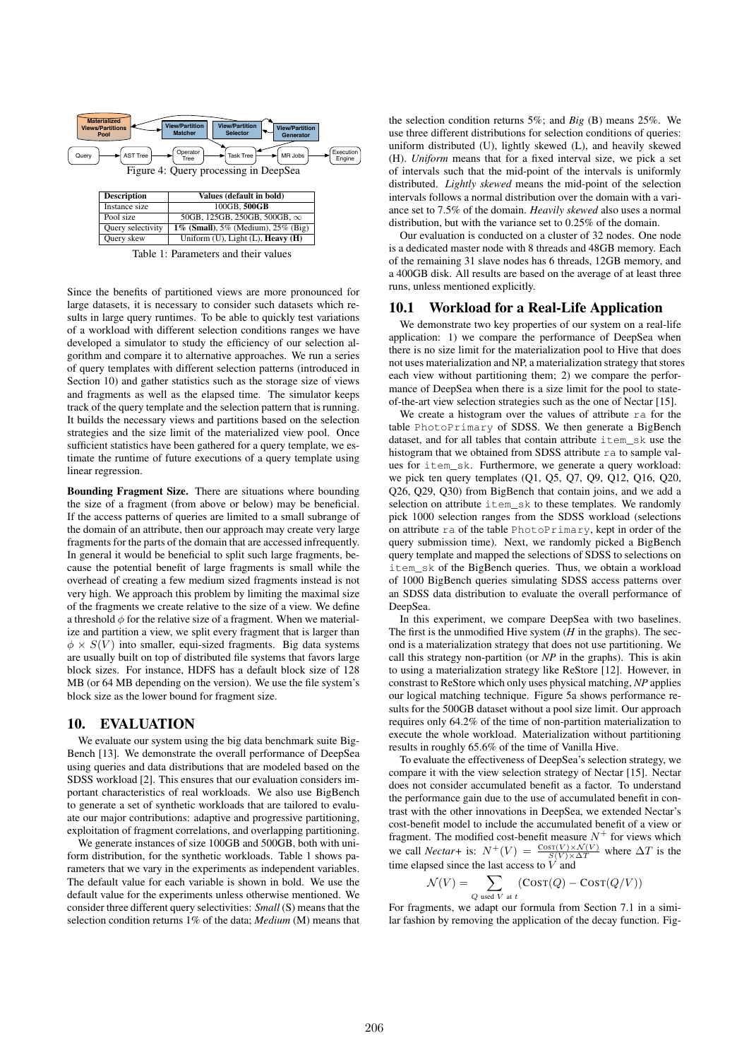

Table 1: Parameters and their values

Since the benefits of partitioned views are more pronounced for large datasets, it is necessary to consider such datasets which results in large query runtimes. To be able to quickly test variations of a workload with different selection conditions ranges we have developed a simulator to study the efficiency of our selection algorithm and compare it to alternative approaches. We run a series of query templates with different selection patterns (introduced in Section 10) and gather statistics such as the storage size of views and fragments as well as the elapsed time. The simulator keeps track of the query template and the selection pattern that is running. It builds the necessary views and partitions based on the selection strategies and the size limit of the materialized view pool. Once sufficient statistics have been gathered for a query template, we estimate the runtime of future executions of a query template using linear regression.

Bounding Fragment Size. There are situations where bounding the size of a fragment (from above or below) may be beneficial. If the access patterns of queries are limited to a small subrange of the domain of an attribute, then our approach may create very large fragments for the parts of the domain that are accessed infrequently. In general it would be beneficial to split such large fragments, because the potential benefit of large fragments is small while the overhead of creating a few medium sized fragments instead is not very high. We approach this problem by limiting the maximal size of the fragments we create relative to the size of a view. We define a threshold  $\phi$  for the relative size of a fragment. When we materialize and partition a view, we split every fragment that is larger than  $\phi \times S(V)$  into smaller, equi-sized fragments. Big data systems are usually built on top of distributed file systems that favors large block sizes. For instance, HDFS has a default block size of 128 MB (or 64 MB depending on the version). We use the file system's block size as the lower bound for fragment size.

### 10. EVALUATION

We evaluate our system using the big data benchmark suite Big-Bench [13]. We demonstrate the overall performance of DeepSea using queries and data distributions that are modeled based on the SDSS workload [2]. This ensures that our evaluation considers important characteristics of real workloads. We also use BigBench to generate a set of synthetic workloads that are tailored to evaluate our major contributions: adaptive and progressive partitioning, exploitation of fragment correlations, and overlapping partitioning.

We generate instances of size 100GB and 500GB, both with uniform distribution, for the synthetic workloads. Table 1 shows parameters that we vary in the experiments as independent variables. The default value for each variable is shown in bold. We use the default value for the experiments unless otherwise mentioned. We consider three different query selectivities: *Small* (S) means that the selection condition returns 1% of the data; *Medium* (M) means that

the selection condition returns 5%; and *Big* (B) means 25%. We use three different distributions for selection conditions of queries: uniform distributed (U), lightly skewed (L), and heavily skewed (H). *Uniform* means that for a fixed interval size, we pick a set of intervals such that the mid-point of the intervals is uniformly distributed. *Lightly skewed* means the mid-point of the selection intervals follows a normal distribution over the domain with a variance set to 7.5% of the domain. *Heavily skewed* also uses a normal distribution, but with the variance set to 0.25% of the domain.

Our evaluation is conducted on a cluster of 32 nodes. One node is a dedicated master node with 8 threads and 48GB memory. Each of the remaining 31 slave nodes has 6 threads, 12GB memory, and a 400GB disk. All results are based on the average of at least three runs, unless mentioned explicitly.

#### 10.1 Workload for a Real-Life Application

We demonstrate two key properties of our system on a real-life application: 1) we compare the performance of DeepSea when there is no size limit for the materialization pool to Hive that does not uses materialization and NP, a materialization strategy that stores each view without partitioning them; 2) we compare the performance of DeepSea when there is a size limit for the pool to stateof-the-art view selection strategies such as the one of Nectar [15].

We create a histogram over the values of attribute ra for the table PhotoPrimary of SDSS. We then generate a BigBench dataset, and for all tables that contain attribute item\_sk use the histogram that we obtained from SDSS attribute ra to sample values for item\_sk. Furthermore, we generate a query workload: we pick ten query templates (Q1, Q5, Q7, Q9, Q12, Q16, Q20, Q26, Q29, Q30) from BigBench that contain joins, and we add a selection on attribute item\_sk to these templates. We randomly pick 1000 selection ranges from the SDSS workload (selections on attribute ra of the table PhotoPrimary, kept in order of the query submission time). Next, we randomly picked a BigBench query template and mapped the selections of SDSS to selections on item\_sk of the BigBench queries. Thus, we obtain a workload of 1000 BigBench queries simulating SDSS access patterns over an SDSS data distribution to evaluate the overall performance of DeepSea.

In this experiment, we compare DeepSea with two baselines. The first is the unmodified Hive system  $(H$  in the graphs). The second is a materialization strategy that does not use partitioning. We call this strategy non-partition (or *NP* in the graphs). This is akin to using a materialization strategy like ReStore [12]. However, in constrast to ReStore which only uses physical matching, *NP* applies our logical matching technique. Figure 5a shows performance results for the 500GB dataset without a pool size limit. Our approach requires only 64.2% of the time of non-partition materialization to execute the whole workload. Materialization without partitioning results in roughly 65.6% of the time of Vanilla Hive.

To evaluate the effectiveness of DeepSea's selection strategy, we compare it with the view selection strategy of Nectar [15]. Nectar does not consider accumulated benefit as a factor. To understand the performance gain due to the use of accumulated benefit in contrast with the other innovations in DeepSea, we extended Nectar's cost-benefit model to include the accumulated benefit of a view or fragment. The modified cost-benefit measure  $N^+$  for views which we call *Nectar*+ is:  $N^+(V) = \frac{\cos(\frac{V}{X}) \times \mathcal{N}(V)}{S(V) \times \Delta T}$  where  $\Delta T$  is the time elapsed since the last access to  $\overrightarrow{V}$  and

$$
\mathcal{N}(V) = \sum_{Q \text{ used } V \text{ at } t} (\text{Cosr}(Q) - \text{Cosr}(Q/V))
$$

For fragments, we adapt our formula from Section 7.1 in a similar fashion by removing the application of the decay function. Fig-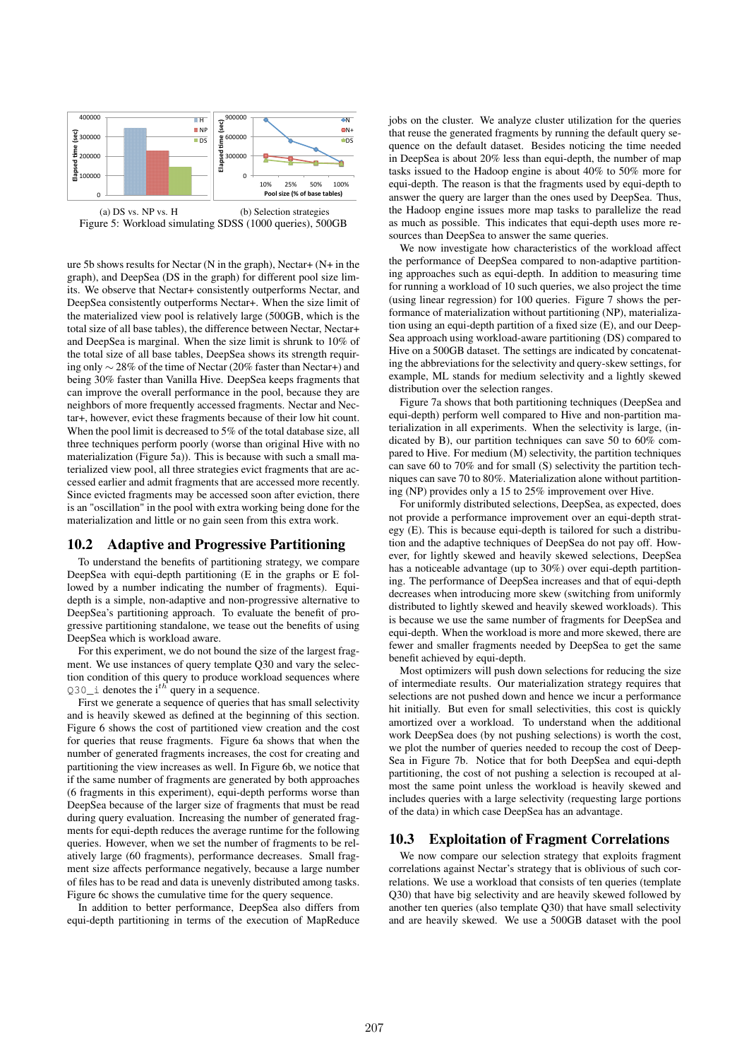

(b) Selection strategies Figure 5: Workload simulating SDSS (1000 queries), 500GB

ure 5b shows results for Nectar (N in the graph), Nectar+ (N+ in the graph), and DeepSea (DS in the graph) for different pool size limits. We observe that Nectar+ consistently outperforms Nectar, and DeepSea consistently outperforms Nectar+. When the size limit of the materialized view pool is relatively large (500GB, which is the total size of all base tables), the difference between Nectar, Nectar+ and DeepSea is marginal. When the size limit is shrunk to 10% of the total size of all base tables, DeepSea shows its strength requiring only ∼ 28% of the time of Nectar (20% faster than Nectar+) and being 30% faster than Vanilla Hive. DeepSea keeps fragments that can improve the overall performance in the pool, because they are neighbors of more frequently accessed fragments. Nectar and Nectar+, however, evict these fragments because of their low hit count. When the pool limit is decreased to 5% of the total database size, all three techniques perform poorly (worse than original Hive with no materialization (Figure 5a)). This is because with such a small materialized view pool, all three strategies evict fragments that are accessed earlier and admit fragments that are accessed more recently. Since evicted fragments may be accessed soon after eviction, there is an "oscillation" in the pool with extra working being done for the materialization and little or no gain seen from this extra work.

### 10.2 Adaptive and Progressive Partitioning

To understand the benefits of partitioning strategy, we compare DeepSea with equi-depth partitioning (E in the graphs or E followed by a number indicating the number of fragments). Equidepth is a simple, non-adaptive and non-progressive alternative to DeepSea's partitioning approach. To evaluate the benefit of progressive partitioning standalone, we tease out the benefits of using DeepSea which is workload aware.

For this experiment, we do not bound the size of the largest fragment. We use instances of query template Q30 and vary the selection condition of this query to produce workload sequences where  $Q30$ <sub>1</sub> denotes the i<sup>th</sup> query in a sequence.

First we generate a sequence of queries that has small selectivity and is heavily skewed as defined at the beginning of this section. Figure 6 shows the cost of partitioned view creation and the cost for queries that reuse fragments. Figure 6a shows that when the number of generated fragments increases, the cost for creating and partitioning the view increases as well. In Figure 6b, we notice that if the same number of fragments are generated by both approaches (6 fragments in this experiment), equi-depth performs worse than DeepSea because of the larger size of fragments that must be read during query evaluation. Increasing the number of generated fragments for equi-depth reduces the average runtime for the following queries. However, when we set the number of fragments to be relatively large (60 fragments), performance decreases. Small fragment size affects performance negatively, because a large number of files has to be read and data is unevenly distributed among tasks. Figure 6c shows the cumulative time for the query sequence.

In addition to better performance, DeepSea also differs from equi-depth partitioning in terms of the execution of MapReduce

jobs on the cluster. We analyze cluster utilization for the queries that reuse the generated fragments by running the default query sequence on the default dataset. Besides noticing the time needed in DeepSea is about 20% less than equi-depth, the number of map tasks issued to the Hadoop engine is about 40% to 50% more for equi-depth. The reason is that the fragments used by equi-depth to answer the query are larger than the ones used by DeepSea. Thus, the Hadoop engine issues more map tasks to parallelize the read as much as possible. This indicates that equi-depth uses more resources than DeepSea to answer the same queries.

We now investigate how characteristics of the workload affect the performance of DeepSea compared to non-adaptive partitioning approaches such as equi-depth. In addition to measuring time for running a workload of 10 such queries, we also project the time (using linear regression) for 100 queries. Figure 7 shows the performance of materialization without partitioning (NP), materialization using an equi-depth partition of a fixed size (E), and our Deep-Sea approach using workload-aware partitioning (DS) compared to Hive on a 500GB dataset. The settings are indicated by concatenating the abbreviations for the selectivity and query-skew settings, for example, ML stands for medium selectivity and a lightly skewed distribution over the selection ranges.

Figure 7a shows that both partitioning techniques (DeepSea and equi-depth) perform well compared to Hive and non-partition materialization in all experiments. When the selectivity is large, (indicated by B), our partition techniques can save 50 to 60% compared to Hive. For medium (M) selectivity, the partition techniques can save 60 to 70% and for small (S) selectivity the partition techniques can save 70 to 80%. Materialization alone without partitioning (NP) provides only a 15 to 25% improvement over Hive.

For uniformly distributed selections, DeepSea, as expected, does not provide a performance improvement over an equi-depth strategy (E). This is because equi-depth is tailored for such a distribution and the adaptive techniques of DeepSea do not pay off. However, for lightly skewed and heavily skewed selections, DeepSea has a noticeable advantage (up to 30%) over equi-depth partitioning. The performance of DeepSea increases and that of equi-depth decreases when introducing more skew (switching from uniformly distributed to lightly skewed and heavily skewed workloads). This is because we use the same number of fragments for DeepSea and equi-depth. When the workload is more and more skewed, there are fewer and smaller fragments needed by DeepSea to get the same benefit achieved by equi-depth.

Most optimizers will push down selections for reducing the size of intermediate results. Our materialization strategy requires that selections are not pushed down and hence we incur a performance hit initially. But even for small selectivities, this cost is quickly amortized over a workload. To understand when the additional work DeepSea does (by not pushing selections) is worth the cost, we plot the number of queries needed to recoup the cost of Deep-Sea in Figure 7b. Notice that for both DeepSea and equi-depth partitioning, the cost of not pushing a selection is recouped at almost the same point unless the workload is heavily skewed and includes queries with a large selectivity (requesting large portions of the data) in which case DeepSea has an advantage.

#### 10.3 Exploitation of Fragment Correlations

We now compare our selection strategy that exploits fragment correlations against Nectar's strategy that is oblivious of such correlations. We use a workload that consists of ten queries (template Q30) that have big selectivity and are heavily skewed followed by another ten queries (also template Q30) that have small selectivity and are heavily skewed. We use a 500GB dataset with the pool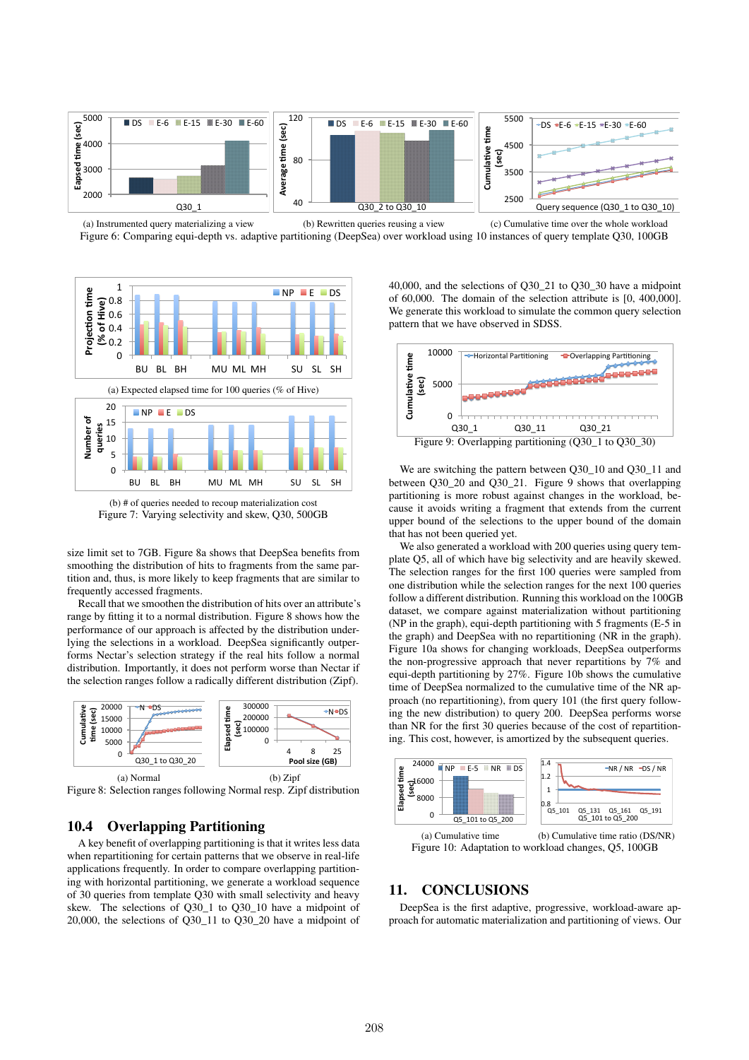

Figure 6: Comparing equi-depth vs. adaptive partitioning (DeepSea) over workload using 10 instances of query template Q30, 100GB



(b) # of queries needed to recoup materialization cost Figure 7: Varying selectivity and skew, Q30, 500GB

size limit set to 7GB. Figure 8a shows that DeepSea benefits from smoothing the distribution of hits to fragments from the same partition and, thus, is more likely to keep fragments that are similar to frequently accessed fragments.

Recall that we smoothen the distribution of hits over an attribute's range by fitting it to a normal distribution. Figure 8 shows how the performance of our approach is affected by the distribution underlying the selections in a workload. DeepSea significantly outperforms Nectar's selection strategy if the real hits follow a normal distribution. Importantly, it does not perform worse than Nectar if the selection ranges follow a radically different distribution (Zipf).



Figure 8: Selection ranges following Normal resp. Zipf distribution

# 10.4 Overlapping Partitioning

A key benefit of overlapping partitioning is that it writes less data when repartitioning for certain patterns that we observe in real-life applications frequently. In order to compare overlapping partitioning with horizontal partitioning, we generate a workload sequence of 30 queries from template Q30 with small selectivity and heavy skew. The selections of Q30\_1 to Q30\_10 have a midpoint of 20,000, the selections of Q30\_11 to Q30\_20 have a midpoint of 40,000, and the selections of Q30\_21 to Q30\_30 have a midpoint of 60,000. The domain of the selection attribute is [0, 400,000]. We generate this workload to simulate the common query selection pattern that we have observed in SDSS.



We are switching the pattern between Q30\_10 and Q30\_11 and between Q30\_20 and Q30\_21. Figure 9 shows that overlapping partitioning is more robust against changes in the workload, because it avoids writing a fragment that extends from the current upper bound of the selections to the upper bound of the domain that has not been queried yet.

We also generated a workload with 200 queries using query template Q5, all of which have big selectivity and are heavily skewed. The selection ranges for the first 100 queries were sampled from one distribution while the selection ranges for the next 100 queries follow a different distribution. Running this workload on the 100GB dataset, we compare against materialization without partitioning (NP in the graph), equi-depth partitioning with 5 fragments (E-5 in the graph) and DeepSea with no repartitioning (NR in the graph). Figure 10a shows for changing workloads, DeepSea outperforms the non-progressive approach that never repartitions by 7% and equi-depth partitioning by 27%. Figure 10b shows the cumulative time of DeepSea normalized to the cumulative time of the NR approach (no repartitioning), from query 101 (the first query following the new distribution) to query 200. DeepSea performs worse than NR for the first 30 queries because of the cost of repartitioning. This cost, however, is amortized by the subsequent queries.



(a) Cumulative time (b) Cumulative time ratio (DS/NR) Figure 10: Adaptation to workload changes, Q5, 100GB

### 11. CONCLUSIONS

DeepSea is the first adaptive, progressive, workload-aware approach for automatic materialization and partitioning of views. Our